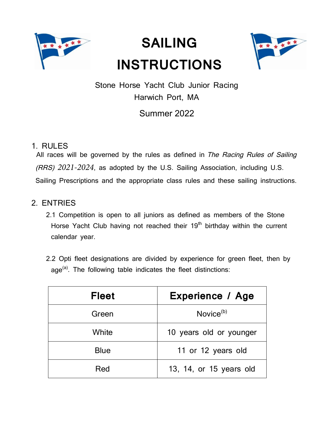

# **SAILING INSTRUCTIONS**



Stone Horse Yacht Club Junior Racing Harwich Port, MA

# Summer 2022

# 1. RULES

All races will be governed by the rules as defined in The Racing Rules of Sailing (RRS) *2021-2024*, as adopted by the U.S. Sailing Association, including U.S. Sailing Prescriptions and the appropriate class rules and these sailing instructions.

# 2. ENTRIES

- 2.1 Competition is open to all juniors as defined as members of the Stone Horse Yacht Club having not reached their 19<sup>th</sup> birthday within the current calendar year.
- 2.2 Opti fleet designations are divided by experience for green fleet, then by  $age<sup>(a)</sup>$ . The following table indicates the fleet distinctions:

| <b>Fleet</b> | <b>Experience / Age</b> |  |
|--------------|-------------------------|--|
| Green        | Novice <sup>(b)</sup>   |  |
| White        | 10 years old or younger |  |
| <b>Blue</b>  | 11 or 12 years old      |  |
| Red          | 13, 14, or 15 years old |  |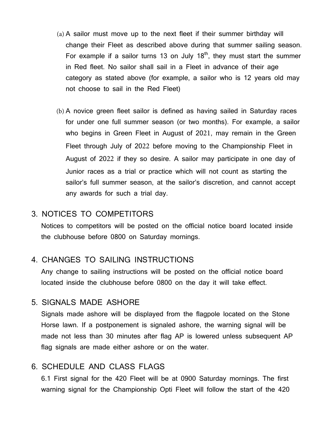- (a) A sailor must move up to the next fleet if their summer birthday will change their Fleet as described above during that summer sailing season. For example if a sailor turns 13 on July  $18<sup>th</sup>$ , they must start the summer in Red fleet. No sailor shall sail in a Fleet in advance of their age category as stated above (for example, a sailor who is 12 years old may not choose to sail in the Red Fleet)
- (b) A novice green fleet sailor is defined as having sailed in Saturday races for under one full summer season (or two months). For example, a sailor who begins in Green Fleet in August of 2021, may remain in the Green Fleet through July of 2022 before moving to the Championship Fleet in August of 2022 if they so desire. A sailor may participate in one day of Junior races as a trial or practice which will not count as starting the sailor's full summer season, at the sailor's discretion, and cannot accept any awards for such a trial day.

### 3. NOTICES TO COMPETITORS

Notices to competitors will be posted on the official notice board located inside the clubhouse before 0800 on Saturday mornings.

#### 4. CHANGES TO SAILING INSTRUCTIONS

Any change to sailing instructions will be posted on the official notice board located inside the clubhouse before 0800 on the day it will take effect.

#### 5. SIGNALS MADE ASHORE

Signals made ashore will be displayed from the flagpole located on the Stone Horse lawn. If a postponement is signaled ashore, the warning signal will be made not less than 30 minutes after flag AP is lowered unless subsequent AP flag signals are made either ashore or on the water.

#### 6. SCHEDULE AND CLASS FLAGS

6.1 First signal for the 420 Fleet will be at 0900 Saturday mornings. The first warning signal for the Championship Opti Fleet will follow the start of the 420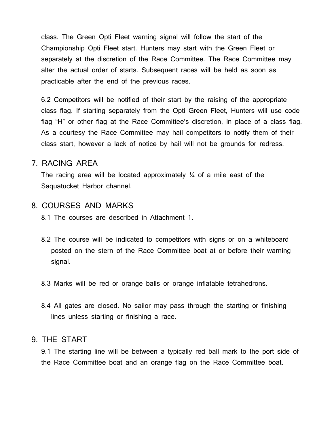class. The Green Opti Fleet warning signal will follow the start of the Championship Opti Fleet start. Hunters may start with the Green Fleet or separately at the discretion of the Race Committee. The Race Committee may alter the actual order of starts. Subsequent races will be held as soon as practicable after the end of the previous races.

6.2 Competitors will be notified of their start by the raising of the appropriate class flag. If starting separately from the Opti Green Fleet, Hunters will use code flag "H" or other flag at the Race Committee's discretion, in place of a class flag. As a courtesy the Race Committee may hail competitors to notify them of their class start, however a lack of notice by hail will not be grounds for redress.

#### 7. RACING AREA

The racing area will be located approximately  $\frac{1}{4}$  of a mile east of the Saquatucket Harbor channel.

#### 8. COURSES AND MARKS

8.1 The courses are described in Attachment 1.

- 8.2 The course will be indicated to competitors with signs or on a whiteboard posted on the stern of the Race Committee boat at or before their warning signal.
- 8.3 Marks will be red or orange balls or orange inflatable tetrahedrons.
- 8.4 All gates are closed. No sailor may pass through the starting or finishing lines unless starting or finishing a race.

#### 9. THE START

9.1 The starting line will be between a typically red ball mark to the port side of the Race Committee boat and an orange flag on the Race Committee boat.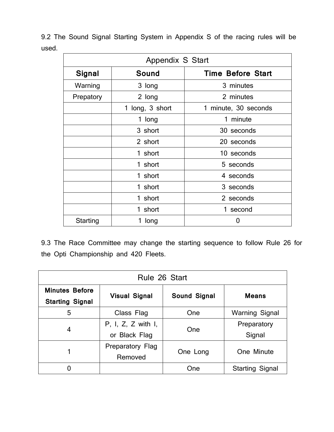9.2 The Sound Signal Starting System in Appendix S of the racing rules will be used.

| Appendix S Start |                 |                          |  |  |
|------------------|-----------------|--------------------------|--|--|
| <b>Signal</b>    | Sound           | <b>Time Before Start</b> |  |  |
| Warning          | 3 long          | 3 minutes                |  |  |
| Prepatory        | 2 long          | 2 minutes                |  |  |
|                  | 1 long, 3 short | 1 minute, 30 seconds     |  |  |
|                  | 1 long          | 1 minute                 |  |  |
|                  | 3 short         | 30 seconds               |  |  |
|                  | 2 short         | 20 seconds               |  |  |
|                  | 1 short         | 10 seconds               |  |  |
|                  | 1 short         | 5 seconds                |  |  |
|                  | 1 short         | 4 seconds                |  |  |
|                  | 1 short         | 3 seconds                |  |  |
|                  | 1 short         | 2 seconds                |  |  |
|                  | 1 short         | 1 second                 |  |  |
| Starting         | 1 long          | 0                        |  |  |

9.3 The Race Committee may change the starting sequence to follow Rule 26 for the Opti Championship and 420 Fleets.

| Rule 26 Start                                   |                                     |              |                        |  |  |
|-------------------------------------------------|-------------------------------------|--------------|------------------------|--|--|
| <b>Minutes Before</b><br><b>Starting Signal</b> | <b>Visual Signal</b>                | Sound Signal | <b>Means</b>           |  |  |
| 5                                               | Class Flag                          | One          | <b>Warning Signal</b>  |  |  |
| 4                                               | P, I, Z, Z with I,<br>or Black Flag | One          | Preparatory<br>Signal  |  |  |
|                                                 | Preparatory Flag<br>Removed         | One Long     | One Minute             |  |  |
|                                                 |                                     | One          | <b>Starting Signal</b> |  |  |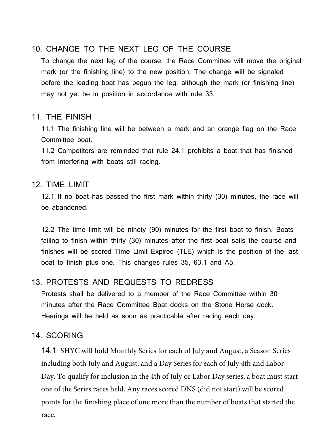# 10. CHANGE TO THE NEXT LEG OF THE COURSE

To change the next leg of the course, the Race Committee will move the original mark (or the finishing line) to the new position. The change will be signaled before the leading boat has begun the leg, although the mark (or finishing line) may not yet be in position in accordance with rule 33.

## 11. THE FINISH

11.1 The finishing line will be between a mark and an orange flag on the Race Committee boat.

11.2 Competitors are reminded that rule 24.1 prohibits a boat that has finished from interfering with boats still racing.

## 12. TIME LIMIT

12.1 If no boat has passed the first mark within thirty (30) minutes, the race will be abandoned.

12.2 The time limit will be ninety (90) minutes for the first boat to finish. Boats failing to finish within thirty (30) minutes after the first boat sails the course and finishes will be scored Time Limit Expired (TLE) which is the position of the last boat to finish plus one. This changes rules 35, 63.1 and A5.

# 13. PROTESTS AND REQUESTS TO REDRESS

Protests shall be delivered to a member of the Race Committee within 30 minutes after the Race Committee Boat docks on the Stone Horse dock. Hearings will be held as soon as practicable after racing each day.

## 14. SCORING

14.1 SHYC will hold Monthly Series for each of July and August, a Season Series including both July and August, and a Day Series for each of July 4th and Labor Day. To qualify for inclusion in the 4th of July or Labor Day series, a boat must start one of the Series races held. Any races scored DNS (did not start) will be scored points for the finishing place of one more than the number of boats that started the race.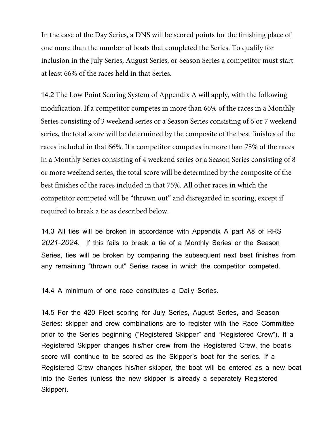In the case of the Day Series, a DNS will be scored points for the finishing place of one more than the number of boats that completed the Series. To qualify for inclusion in the July Series, August Series, or Season Series a competitor must start at least 66% of the races held in that Series.

14.2 The Low Point Scoring System of Appendix A will apply, with the following modification. If a competitor competes in more than 66% of the races in a Monthly Series consisting of 3 weekend series or a Season Series consisting of 6 or 7 weekend series, the total score will be determined by the composite of the best finishes of the races included in that 66%. If a competitor competes in more than 75% of the races in a Monthly Series consisting of 4 weekend series or a Season Series consisting of 8 or more weekend series, the total score will be determined by the composite of the best finishes of the races included in that 75%. All other races in which the competitor competed will be "thrown out" and disregarded in scoring, except if required to break a tie as described below.

14.3 All ties will be broken in accordance with Appendix A part A8 of RRS *2021-2024*. If this fails to break a tie of a Monthly Series or the Season Series, ties will be broken by comparing the subsequent next best finishes from any remaining "thrown out" Series races in which the competitor competed.

14.4 A minimum of one race constitutes a Daily Series.

14.5 For the 420 Fleet scoring for July Series, August Series, and Season Series: skipper and crew combinations are to register with the Race Committee prior to the Series beginning ("Registered Skipper" and "Registered Crew"). If a Registered Skipper changes his/her crew from the Registered Crew, the boat's score will continue to be scored as the Skipper's boat for the series. If a Registered Crew changes his/her skipper, the boat will be entered as a new boat into the Series (unless the new skipper is already a separately Registered Skipper).